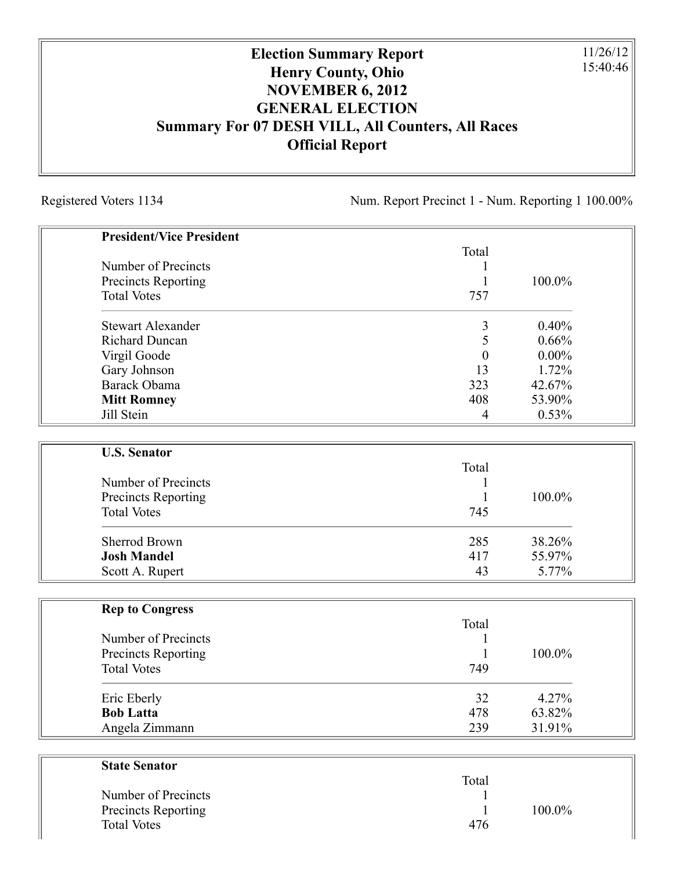## **Election Summary Report Henry County, Ohio NOVEMBER 6, 2012 GENERAL ELECTION Summary For 07 DESH VILL, All Counters, All Races Official Report**

Registered Voters 1134 Num. Report Precinct 1 - Num. Reporting 1 100.00%

11/26/12 15:40:46

| <b>President/Vice President</b> |                  |          |
|---------------------------------|------------------|----------|
|                                 | Total            |          |
| Number of Precincts             |                  |          |
| Precincts Reporting             | 1                | 100.0%   |
| <b>Total Votes</b>              | 757              |          |
| <b>Stewart Alexander</b>        | 3                | 0.40%    |
| <b>Richard Duncan</b>           | 5                | 0.66%    |
| Virgil Goode                    | $\boldsymbol{0}$ | $0.00\%$ |
| Gary Johnson                    | 13               | 1.72%    |
| Barack Obama                    | 323              | 42.67%   |
| <b>Mitt Romney</b>              | 408              | 53.90%   |
| Jill Stein                      | 4                | 0.53%    |
|                                 |                  |          |
| <b>U.S. Senator</b>             | Total            |          |
| Number of Precincts             |                  |          |
| Precincts Reporting             | 1                | 100.0%   |
| <b>Total Votes</b>              | 745              |          |
| <b>Sherrod Brown</b>            | 285              | 38.26%   |
| <b>Josh Mandel</b>              | 417              | 55.97%   |
| Scott A. Rupert                 | 43               | 5.77%    |
|                                 |                  |          |
| <b>Rep to Congress</b>          | Total            |          |
| Number of Precincts             | 1                |          |
| <b>Precincts Reporting</b>      | 1                | 100.0%   |
| <b>Total Votes</b>              | 749              |          |
| Eric Eberly                     | 32               | 4.27%    |
| <b>Bob Latta</b>                | 478              | 63.82%   |
| Angela Zimmann                  | 239              | 31.91%   |
|                                 |                  |          |
| <b>State Senator</b>            |                  |          |
|                                 | Total            |          |
| Number of Precincts             |                  |          |

Precincts Reporting 1 100.0%

Total Votes 476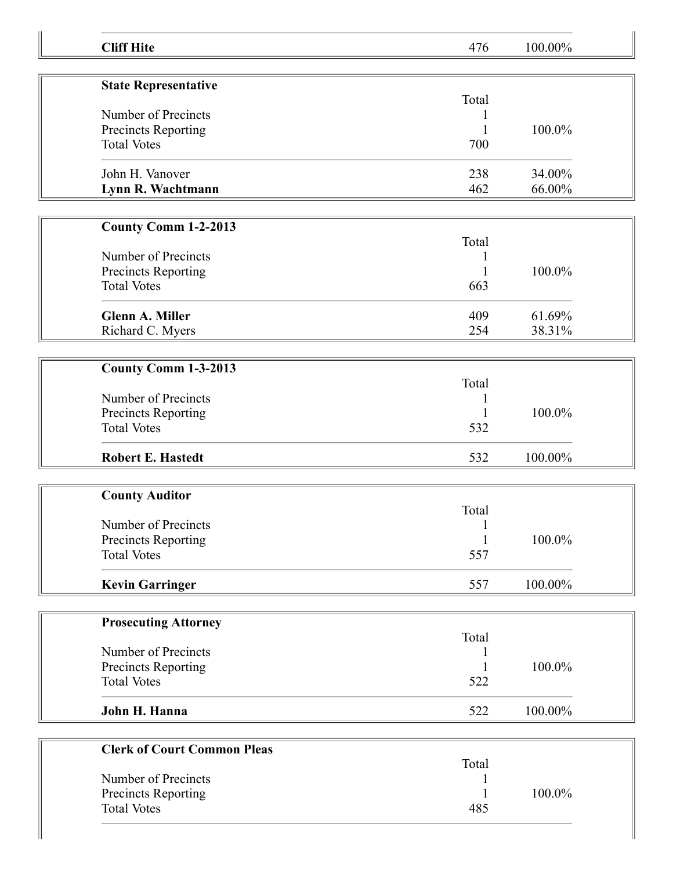| <b>Cliff Hite</b>                                | 476                   | 100.00%          |  |
|--------------------------------------------------|-----------------------|------------------|--|
|                                                  |                       |                  |  |
| <b>State Representative</b>                      |                       |                  |  |
| Number of Precincts                              | Total<br>1            |                  |  |
| Precincts Reporting                              |                       | 100.0%           |  |
| <b>Total Votes</b>                               | 700                   |                  |  |
|                                                  |                       |                  |  |
| John H. Vanover                                  | 238                   | 34.00%           |  |
| Lynn R. Wachtmann                                | 462                   | 66.00%           |  |
| County Comm 1-2-2013                             |                       |                  |  |
|                                                  | Total                 |                  |  |
| Number of Precincts                              | $\mathbf{1}$          |                  |  |
| Precincts Reporting                              | 1                     | 100.0%           |  |
| <b>Total Votes</b>                               | 663                   |                  |  |
|                                                  |                       |                  |  |
| <b>Glenn A. Miller</b>                           | 409                   | 61.69%<br>38.31% |  |
| Richard C. Myers                                 | 254                   |                  |  |
|                                                  |                       |                  |  |
| County Comm 1-3-2013                             | Total                 |                  |  |
| Number of Precincts                              | 1                     |                  |  |
| Precincts Reporting                              |                       | 100.0%           |  |
| <b>Total Votes</b>                               | 532                   |                  |  |
|                                                  |                       |                  |  |
| <b>Robert E. Hastedt</b>                         | 532                   | 100.00%          |  |
|                                                  |                       |                  |  |
| <b>County Auditor</b>                            |                       |                  |  |
| Number of Precincts                              | Total<br>$\mathbf{1}$ |                  |  |
| <b>Precincts Reporting</b>                       | $\mathbf{1}$          | 100.0%           |  |
| <b>Total Votes</b>                               | 557                   |                  |  |
|                                                  |                       |                  |  |
| <b>Kevin Garringer</b>                           | 557                   | 100.00%          |  |
|                                                  |                       |                  |  |
| <b>Prosecuting Attorney</b>                      |                       |                  |  |
|                                                  | Total                 |                  |  |
| Number of Precincts                              |                       |                  |  |
| <b>Precincts Reporting</b><br><b>Total Votes</b> | 522                   | 100.0%           |  |
|                                                  |                       |                  |  |
| John H. Hanna                                    | 522                   | 100.00%          |  |
|                                                  |                       |                  |  |
| <b>Clerk of Court Common Pleas</b>               |                       |                  |  |
|                                                  | Total                 |                  |  |
| Number of Precincts                              | 1                     |                  |  |
| Precincts Reporting                              | 1                     | 100.0%           |  |
| <b>Total Votes</b>                               | 485                   |                  |  |
|                                                  |                       |                  |  |

II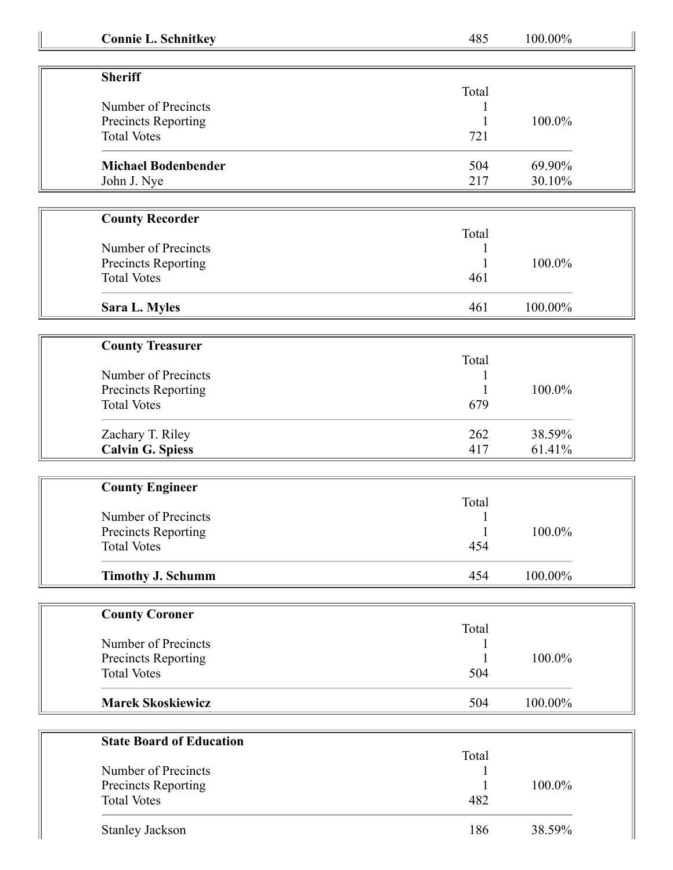| <b>Connie L. Schnitkey</b> |  |
|----------------------------|--|
|----------------------------|--|

**Connie L. Schnitkey** 485 100.00%

| <b>Sheriff</b><br>Number of Precincts<br>Precincts Reporting<br><b>Total Votes</b> | Total<br>721 | 100.0% |
|------------------------------------------------------------------------------------|--------------|--------|
| <b>Michael Bodenbender</b>                                                         | 504          | 69.90% |
| John J. Nye                                                                        | 217          | 30.10% |

| <b>County Recorder</b> |       |         |
|------------------------|-------|---------|
|                        | Total |         |
| Number of Precincts    |       |         |
| Precincts Reporting    |       | 100.0%  |
| <b>Total Votes</b>     | 461   |         |
| Sara L. Myles          | 461   | 100.00% |

| <b>County Treasurer</b> |       |        |
|-------------------------|-------|--------|
|                         | Total |        |
| Number of Precincts     |       |        |
| Precincts Reporting     |       | 100.0% |
| <b>Total Votes</b>      | 679   |        |
| Zachary T. Riley        | 262   | 38.59% |
| <b>Calvin G. Spiess</b> | 417   | 61.41% |

| <b>County Engineer</b>   |       |         |
|--------------------------|-------|---------|
|                          | Total |         |
| Number of Precincts      |       |         |
| Precincts Reporting      |       | 100.0%  |
| <b>Total Votes</b>       | 454   |         |
| <b>Timothy J. Schumm</b> | 454   | 100.00% |

| <b>County Coroner</b>    |       |         |
|--------------------------|-------|---------|
|                          | Total |         |
| Number of Precincts      |       |         |
| Precincts Reporting      |       | 100.0%  |
| <b>Total Votes</b>       | 504   |         |
| <b>Marek Skoskiewicz</b> | 504   | 100.00% |

| <b>State Board of Education</b> |       |           |
|---------------------------------|-------|-----------|
|                                 | Total |           |
| Number of Precincts             |       |           |
| Precincts Reporting             |       | $100.0\%$ |
| <b>Total Votes</b>              | 482   |           |
| <b>Stanley Jackson</b>          | 186   | 38.59%    |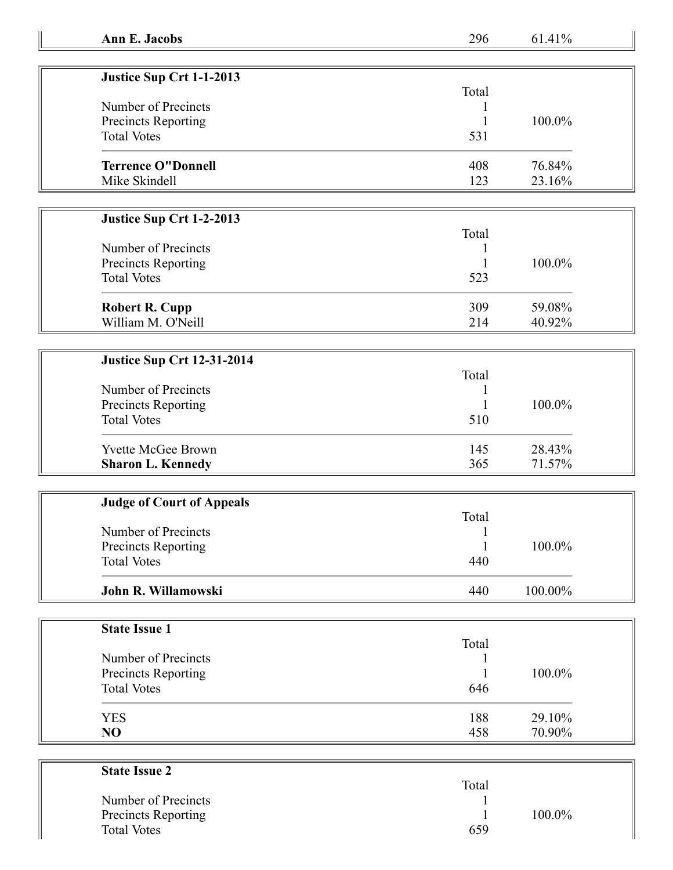| Justice Sup Crt 1-1-2013   |       |           |
|----------------------------|-------|-----------|
|                            | Total |           |
| Number of Precincts        |       |           |
| <b>Precincts Reporting</b> |       | $100.0\%$ |
| <b>Total Votes</b>         | 531   |           |
| <b>Terrence O"Donnell</b>  | 408   | 76.84%    |
| Mike Skindell              | 123   | 23.16%    |

## **Justice Sup Crt 1-2-2013**

## **Justice Sup Crt 12-31-2014**

| Number of Precincts<br><b>Precincts Reporting</b><br><b>Total Votes</b> | Total<br>510 | $100.0\%$ |
|-------------------------------------------------------------------------|--------------|-----------|
| <b>Yvette McGee Brown</b>                                               | 145          | 28.43%    |
| <b>Sharon L. Kennedy</b>                                                | 365          | 71.57%    |

| <b>Judge of Court of Appeals</b> |       |         |  |
|----------------------------------|-------|---------|--|
|                                  | Total |         |  |
| Number of Precincts              |       |         |  |
| <b>Precincts Reporting</b>       |       | 100.0%  |  |
| <b>Total Votes</b>               | 440   |         |  |
| John R. Willamowski              | 440   | 100.00% |  |

| <b>State Issue 1</b> |       |        |
|----------------------|-------|--------|
|                      | Total |        |
| Number of Precincts  |       |        |
| Precincts Reporting  |       | 100.0% |
| <b>Total Votes</b>   | 646   |        |
| <b>YES</b>           | 188   | 29.10% |
| NO                   | 458   | 70.90% |

| <b>State Issue 2</b>       |       |        |
|----------------------------|-------|--------|
|                            | Total |        |
| Number of Precincts        |       |        |
| <b>Precincts Reporting</b> |       | 100.0% |
| <b>Total Votes</b>         | 659   |        |